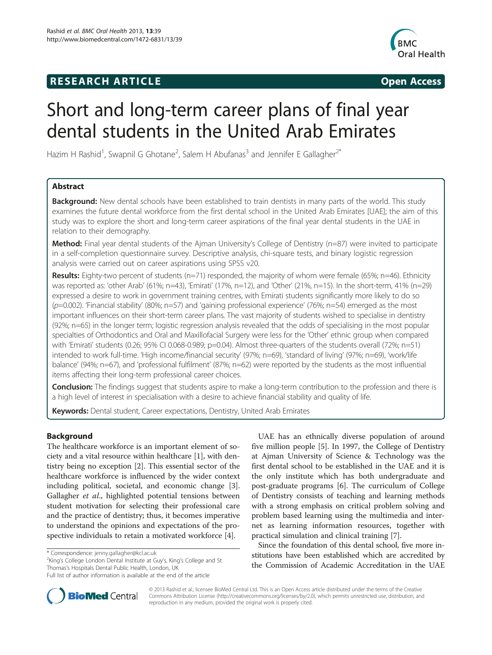# **RESEARCH ARTICLE Example 2014 The SEAR CH ACCESS**



# Short and long-term career plans of final year dental students in the United Arab Emirates

Hazim H Rashid<sup>1</sup>, Swapnil G Ghotane<sup>2</sup>, Salem H Abufanas<sup>3</sup> and Jennifer E Gallagher<sup>2\*</sup>

# Abstract

Background: New dental schools have been established to train dentists in many parts of the world. This study examines the future dental workforce from the first dental school in the United Arab Emirates [UAE]; the aim of this study was to explore the short and long-term career aspirations of the final year dental students in the UAE in relation to their demography.

Method: Final year dental students of the Ajman University's College of Dentistry (n=87) were invited to participate in a self-completion questionnaire survey. Descriptive analysis, chi-square tests, and binary logistic regression analysis were carried out on career aspirations using SPSS v20.

Results: Eighty-two percent of students (n=71) responded, the majority of whom were female (65%; n=46). Ethnicity was reported as: 'other Arab' (61%; n=43), 'Emirati' (17%, n=12), and 'Other' (21%, n=15). In the short-term, 41% (n=29) expressed a desire to work in government training centres, with Emirati students significantly more likely to do so  $(p=0.002)$ . 'Financial stability' (80%; n=57) and 'gaining professional experience' (76%; n=54) emerged as the most important influences on their short-term career plans. The vast majority of students wished to specialise in dentistry (92%; n=65) in the longer term; logistic regression analysis revealed that the odds of specialising in the most popular specialties of Orthodontics and Oral and Maxillofacial Surgery were less for the 'Other' ethnic group when compared with 'Emirati' students (0.26; 95% CI 0.068-0.989; p=0.04). Almost three-quarters of the students overall (72%; n=51) intended to work full-time. 'High income/financial security' (97%; n=69), 'standard of living' (97%; n=69), 'work/life balance' (94%; n=67), and 'professional fulfilment' (87%; n=62) were reported by the students as the most influential items affecting their long-term professional career choices.

**Conclusion:** The findings suggest that students aspire to make a long-term contribution to the profession and there is a high level of interest in specialisation with a desire to achieve financial stability and quality of life.

Keywords: Dental student, Career expectations, Dentistry, United Arab Emirates

# Background

The healthcare workforce is an important element of society and a vital resource within healthcare [\[1\]](#page-7-0), with dentistry being no exception [[2\]](#page-7-0). This essential sector of the healthcare workforce is influenced by the wider context including political, societal, and economic change [\[3](#page-7-0)]. Gallagher et al., highlighted potential tensions between student motivation for selecting their professional care and the practice of dentistry; thus, it becomes imperative to understand the opinions and expectations of the prospective individuals to retain a motivated workforce [\[4\]](#page-7-0).

<sup>2</sup>King's College London Dental Institute at Guy's, King's College and St Thomas's Hospitals Dental Public Health, London, UK

UAE has an ethnically diverse population of around five million people [\[5](#page-7-0)]. In 1997, the College of Dentistry at Ajman University of Science & Technology was the first dental school to be established in the UAE and it is the only institute which has both undergraduate and post-graduate programs [\[6](#page-7-0)]. The curriculum of College of Dentistry consists of teaching and learning methods with a strong emphasis on critical problem solving and problem based learning using the multimedia and internet as learning information resources, together with practical simulation and clinical training [\[7](#page-7-0)].

Since the foundation of this dental school, five more institutions have been established which are accredited by the Commission of Academic Accreditation in the UAE



© 2013 Rashid et al.; licensee BioMed Central Ltd. This is an Open Access article distributed under the terms of the Creative Commons Attribution License [\(http://creativecommons.org/licenses/by/2.0\)](http://creativecommons.org/licenses/by/2.0), which permits unrestricted use, distribution, and reproduction in any medium, provided the original work is properly cited.

<sup>\*</sup> Correspondence: [jenny.gallagher@kcl.ac.uk](mailto:jenny.gallagher@kcl.ac.uk) <sup>2</sup>

Full list of author information is available at the end of the article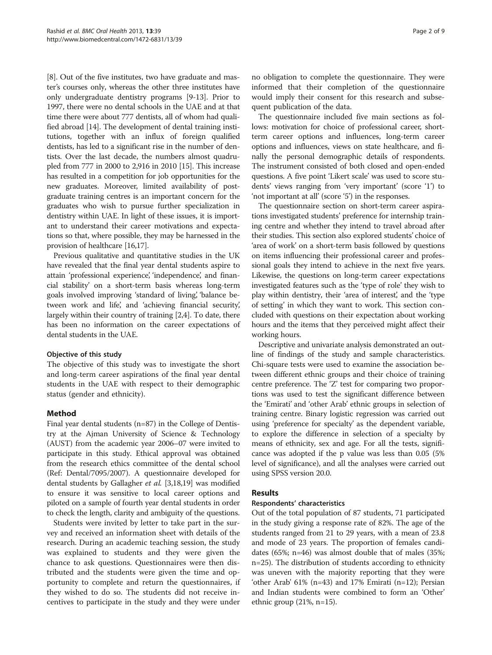[[8\]](#page-7-0). Out of the five institutes, two have graduate and master's courses only, whereas the other three institutes have only undergraduate dentistry programs [[9-13\]](#page-7-0). Prior to 1997, there were no dental schools in the UAE and at that time there were about 777 dentists, all of whom had qualified abroad [\[14](#page-7-0)]. The development of dental training institutions, together with an influx of foreign qualified dentists, has led to a significant rise in the number of dentists. Over the last decade, the numbers almost quadrupled from 777 in 2000 to 2,916 in 2010 [\[15\]](#page-7-0). This increase has resulted in a competition for job opportunities for the new graduates. Moreover, limited availability of postgraduate training centres is an important concern for the graduates who wish to pursue further specialization in dentistry within UAE. In light of these issues, it is important to understand their career motivations and expectations so that, where possible, they may be harnessed in the provision of healthcare [[16,17](#page-7-0)].

Previous qualitative and quantitative studies in the UK have revealed that the final year dental students aspire to attain 'professional experience', 'independence', and financial stability' on a short-term basis whereas long-term goals involved improving 'standard of living', 'balance between work and life', and 'achieving financial security', largely within their country of training [\[2,4\]](#page-7-0). To date, there has been no information on the career expectations of dental students in the UAE.

#### Objective of this study

The objective of this study was to investigate the short and long-term career aspirations of the final year dental students in the UAE with respect to their demographic status (gender and ethnicity).

# Method

Final year dental students (n=87) in the College of Dentistry at the Ajman University of Science & Technology (AUST) from the academic year 2006–07 were invited to participate in this study. Ethical approval was obtained from the research ethics committee of the dental school (Ref: Dental/7095/2007). A questionnaire developed for dental students by Gallagher et al. [\[3,18,19\]](#page-7-0) was modified to ensure it was sensitive to local career options and piloted on a sample of fourth year dental students in order to check the length, clarity and ambiguity of the questions.

Students were invited by letter to take part in the survey and received an information sheet with details of the research. During an academic teaching session, the study was explained to students and they were given the chance to ask questions. Questionnaires were then distributed and the students were given the time and opportunity to complete and return the questionnaires, if they wished to do so. The students did not receive incentives to participate in the study and they were under no obligation to complete the questionnaire. They were informed that their completion of the questionnaire would imply their consent for this research and subsequent publication of the data.

The questionnaire included five main sections as follows: motivation for choice of professional career, shortterm career options and influences, long-term career options and influences, views on state healthcare, and finally the personal demographic details of respondents. The instrument consisted of both closed and open-ended questions. A five point 'Likert scale' was used to score students' views ranging from 'very important' (score '1') to 'not important at all' (score '5') in the responses.

The questionnaire section on short-term career aspirations investigated students' preference for internship training centre and whether they intend to travel abroad after their studies. This section also explored students' choice of 'area of work' on a short-term basis followed by questions on items influencing their professional career and professional goals they intend to achieve in the next five years. Likewise, the questions on long-term career expectations investigated features such as the 'type of role' they wish to play within dentistry, their 'area of interest', and the 'type of setting' in which they want to work. This section concluded with questions on their expectation about working hours and the items that they perceived might affect their working hours.

Descriptive and univariate analysis demonstrated an outline of findings of the study and sample characteristics. Chi-square tests were used to examine the association between different ethnic groups and their choice of training centre preference. The 'Z' test for comparing two proportions was used to test the significant difference between the 'Emirati' and 'other Arab' ethnic groups in selection of training centre. Binary logistic regression was carried out using 'preference for specialty' as the dependent variable, to explore the difference in selection of a specialty by means of ethnicity, sex and age. For all the tests, significance was adopted if the p value was less than 0.05 (5% level of significance), and all the analyses were carried out using SPSS version 20.0.

# Results

#### Respondents' characteristics

Out of the total population of 87 students, 71 participated in the study giving a response rate of 82%. The age of the students ranged from 21 to 29 years, with a mean of 23.8 and mode of 23 years. The proportion of females candidates (65%; n=46) was almost double that of males (35%; n=25). The distribution of students according to ethnicity was uneven with the majority reporting that they were 'other Arab' 61% (n=43) and 17% Emirati (n=12); Persian and Indian students were combined to form an 'Other' ethnic group (21%, n=15).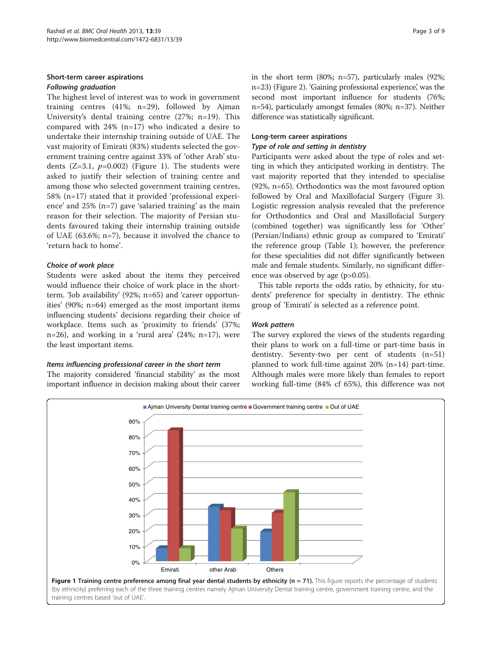# Short-term career aspirations Following graduation

The highest level of interest was to work in government training centres (41%; n=29), followed by Ajman University's dental training centre (27%; n=19). This compared with 24% (n=17) who indicated a desire to undertake their internship training outside of UAE. The vast majority of Emirati (83%) students selected the government training centre against 33% of 'other Arab' students  $(Z=3.1, p=0.002)$  (Figure 1). The students were asked to justify their selection of training centre and among those who selected government training centres, 58% (n=17) stated that it provided 'professional experience' and 25% (n=7) gave 'salaried training' as the main reason for their selection. The majority of Persian students favoured taking their internship training outside of UAE (63.6%; n=7), because it involved the chance to 'return back to home'.

# Choice of work place

Students were asked about the items they perceived would influence their choice of work place in the shortterm. 'Job availability' (92%; n=65) and 'career opportunities' (90%; n=64) emerged as the most important items influencing students' decisions regarding their choice of workplace. Items such as 'proximity to friends' (37%; n=26), and working in a 'rural area' (24%; n=17), were the least important items.

# Items influencing professional career in the short term

The majority considered 'financial stability' as the most important influence in decision making about their career in the short term (80%; n=57), particularly males (92%; n=23) (Figure [2\)](#page-3-0). 'Gaining professional experience', was the second most important influence for students (76%; n=54), particularly amongst females (80%; n=37). Neither difference was statistically significant.

# Long-term career aspirations

## Type of role and setting in dentistry

Participants were asked about the type of roles and setting in which they anticipated working in dentistry. The vast majority reported that they intended to specialise (92%, n=65). Orthodontics was the most favoured option followed by Oral and Maxillofacial Surgery (Figure [3](#page-3-0)). Logistic regression analysis revealed that the preference for Orthodontics and Oral and Maxillofacial Surgery (combined together) was significantly less for 'Other' (Persian/Indians) ethnic group as compared to 'Emirati' the reference group (Table [1\)](#page-4-0); however, the preference for these specialities did not differ significantly between male and female students. Similarly, no significant difference was observed by age (p>0.05).

This table reports the odds ratio, by ethnicity, for students' preference for specialty in dentistry. The ethnic group of 'Emirati' is selected as a reference point.

# Work pattern

The survey explored the views of the students regarding their plans to work on a full-time or part-time basis in dentistry. Seventy-two per cent of students (n=51) planned to work full-time against 20% (n=14) part-time. Although males were more likely than females to report working full-time (84% cf 65%), this difference was not



training centres based 'out of UAE'.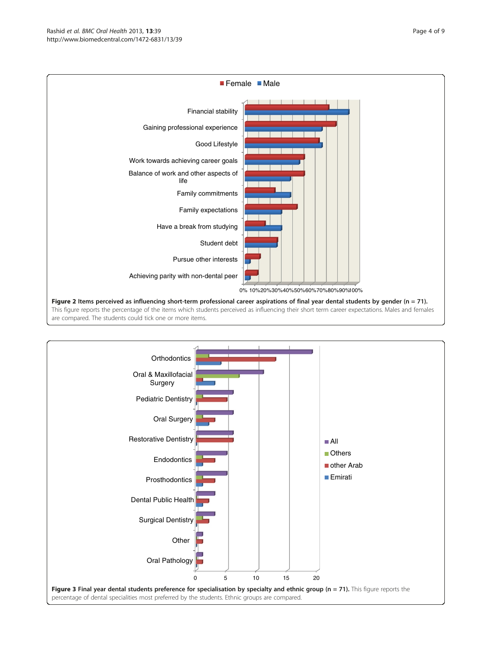<span id="page-3-0"></span>

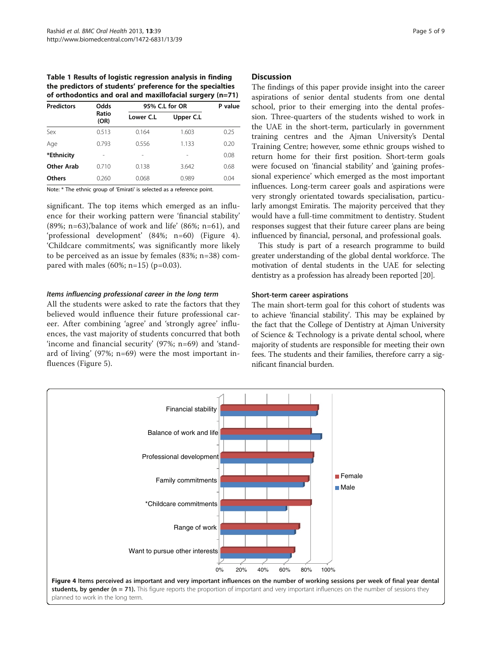<span id="page-4-0"></span>Table 1 Results of logistic regression analysis in finding the predictors of students' preference for the specialties of orthodontics and oral and maxillofacial surgery (n=71)

| <b>Predictors</b> | Odds<br>Ratio<br>(OR) | 95% C.L for OR |           | P value |
|-------------------|-----------------------|----------------|-----------|---------|
|                   |                       | Lower C.L      | Upper C.L |         |
| Sex               | 0.513                 | 0.164          | 1.603     | 0.25    |
| Age               | 0.793                 | 0.556          | 1.133     | 0.20    |
| *Ethnicity        |                       |                |           | 0.08    |
| Other Arab        | 0.710                 | 0.138          | 3.642     | 0.68    |
| <b>Others</b>     | 0.260                 | 0.068          | 0.989     | 0.04    |

Note: \* The ethnic group of 'Emirati' is selected as a reference point.

significant. The top items which emerged as an influence for their working pattern were 'financial stability' (89%; n=63),'balance of work and life' (86%; n=61), and 'professional development' (84%; n=60) (Figure 4). 'Childcare commitments', was significantly more likely to be perceived as an issue by females (83%; n=38) compared with males (60%; n=15) (p=0.03).

#### Items influencing professional career in the long term

All the students were asked to rate the factors that they believed would influence their future professional career. After combining 'agree' and 'strongly agree' influences, the vast majority of students concurred that both 'income and financial security' (97%; n=69) and 'standard of living' (97%; n=69) were the most important influences (Figure [5\)](#page-5-0).

#### **Discussion**

The findings of this paper provide insight into the career aspirations of senior dental students from one dental school, prior to their emerging into the dental profession. Three-quarters of the students wished to work in the UAE in the short-term, particularly in government training centres and the Ajman University's Dental Training Centre; however, some ethnic groups wished to return home for their first position. Short-term goals were focused on 'financial stability' and 'gaining professional experience' which emerged as the most important influences. Long-term career goals and aspirations were very strongly orientated towards specialisation, particularly amongst Emiratis. The majority perceived that they would have a full-time commitment to dentistry. Student responses suggest that their future career plans are being influenced by financial, personal, and professional goals.

This study is part of a research programme to build greater understanding of the global dental workforce. The motivation of dental students in the UAE for selecting dentistry as a profession has already been reported [[20](#page-7-0)].

#### Short-term career aspirations

The main short-term goal for this cohort of students was to achieve 'financial stability'. This may be explained by the fact that the College of Dentistry at Ajman University of Science & Technology is a private dental school, where majority of students are responsible for meeting their own fees. The students and their families, therefore carry a significant financial burden.

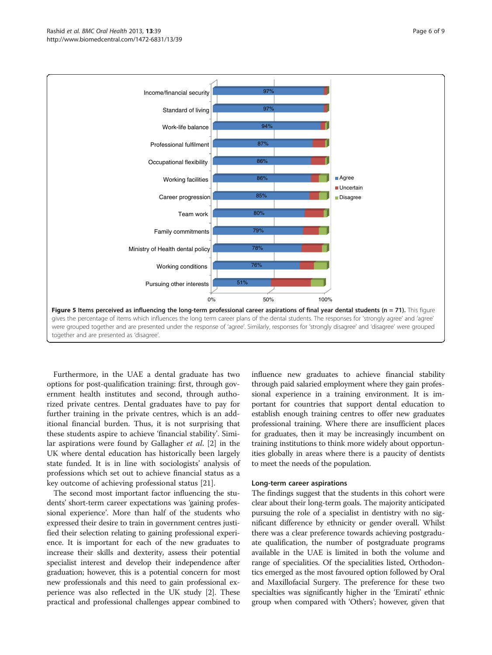<span id="page-5-0"></span>

Furthermore, in the UAE a dental graduate has two options for post-qualification training: first, through government health institutes and second, through authorized private centres. Dental graduates have to pay for further training in the private centres, which is an additional financial burden. Thus, it is not surprising that these students aspire to achieve 'financial stability'. Similar aspirations were found by Gallagher et al. [\[2](#page-7-0)] in the UK where dental education has historically been largely state funded. It is in line with sociologists' analysis of professions which set out to achieve financial status as a key outcome of achieving professional status [[21\]](#page-7-0).

The second most important factor influencing the students' short-term career expectations was 'gaining professional experience'. More than half of the students who expressed their desire to train in government centres justified their selection relating to gaining professional experience. It is important for each of the new graduates to increase their skills and dexterity, assess their potential specialist interest and develop their independence after graduation; however, this is a potential concern for most new professionals and this need to gain professional experience was also reflected in the UK study [[2\]](#page-7-0). These practical and professional challenges appear combined to influence new graduates to achieve financial stability through paid salaried employment where they gain professional experience in a training environment. It is important for countries that support dental education to establish enough training centres to offer new graduates professional training. Where there are insufficient places for graduates, then it may be increasingly incumbent on training institutions to think more widely about opportunities globally in areas where there is a paucity of dentists to meet the needs of the population.

#### Long-term career aspirations

The findings suggest that the students in this cohort were clear about their long-term goals. The majority anticipated pursuing the role of a specialist in dentistry with no significant difference by ethnicity or gender overall. Whilst there was a clear preference towards achieving postgraduate qualification, the number of postgraduate programs available in the UAE is limited in both the volume and range of specialities. Of the specialities listed, Orthodontics emerged as the most favoured option followed by Oral and Maxillofacial Surgery. The preference for these two specialties was significantly higher in the 'Emirati' ethnic group when compared with 'Others'; however, given that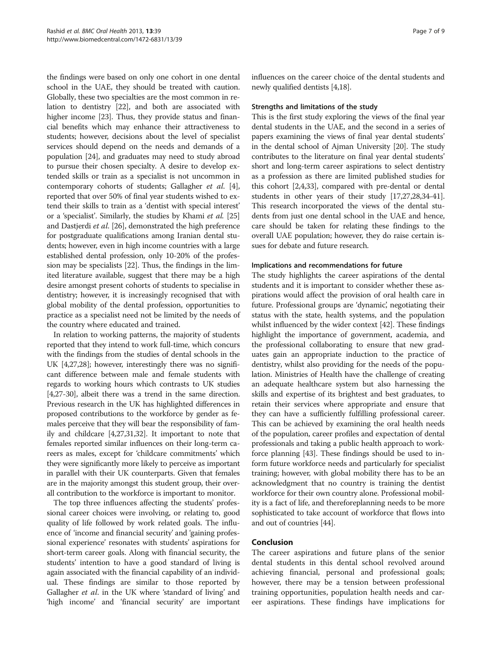the findings were based on only one cohort in one dental school in the UAE, they should be treated with caution. Globally, these two specialties are the most common in relation to dentistry [\[22\]](#page-7-0), and both are associated with higher income [\[23\]](#page-7-0). Thus, they provide status and financial benefits which may enhance their attractiveness to students; however, decisions about the level of specialist services should depend on the needs and demands of a population [\[24\]](#page-7-0), and graduates may need to study abroad to pursue their chosen specialty. A desire to develop extended skills or train as a specialist is not uncommon in contemporary cohorts of students; Gallagher et al. [[4](#page-7-0)], reported that over 50% of final year students wished to extend their skills to train as a 'dentist with special interest' or a 'specialist'. Similarly, the studies by Khami et al. [[25](#page-7-0)] and Dastjerdi et al. [\[26\]](#page-7-0), demonstrated the high preference for postgraduate qualifications among Iranian dental students; however, even in high income countries with a large established dental profession, only 10-20% of the profession may be specialists [[22\]](#page-7-0). Thus, the findings in the limited literature available, suggest that there may be a high desire amongst present cohorts of students to specialise in dentistry; however, it is increasingly recognised that with global mobility of the dental profession, opportunities to practice as a specialist need not be limited by the needs of the country where educated and trained.

In relation to working patterns, the majority of students reported that they intend to work full-time, which concurs with the findings from the studies of dental schools in the UK [\[4,27,28](#page-7-0)]; however, interestingly there was no significant difference between male and female students with regards to working hours which contrasts to UK studies [[4,27](#page-7-0)-[30](#page-7-0)], albeit there was a trend in the same direction. Previous research in the UK has highlighted differences in proposed contributions to the workforce by gender as females perceive that they will bear the responsibility of family and childcare [\[4,27,31,32\]](#page-7-0). It important to note that females reported similar influences on their long-term careers as males, except for 'childcare commitments' which they were significantly more likely to perceive as important in parallel with their UK counterparts. Given that females are in the majority amongst this student group, their overall contribution to the workforce is important to monitor.

The top three influences affecting the students' professional career choices were involving, or relating to, good quality of life followed by work related goals. The influence of 'income and financial security' and 'gaining professional experience' resonates with students' aspirations for short-term career goals. Along with financial security, the students' intention to have a good standard of living is again associated with the financial capability of an individual. These findings are similar to those reported by Gallagher *et al.* in the UK where 'standard of living' and 'high income' and 'financial security' are important influences on the career choice of the dental students and newly qualified dentists [[4,18](#page-7-0)].

#### Strengths and limitations of the study

This is the first study exploring the views of the final year dental students in the UAE, and the second in a series of papers examining the views of final year dental students' in the dental school of Ajman University [\[20\]](#page-7-0). The study contributes to the literature on final year dental students' short and long-term career aspirations to select dentistry as a profession as there are limited published studies for this cohort [\[2,4,33](#page-7-0)], compared with pre-dental or dental students in other years of their study [[17,27,28,34](#page-7-0)-[41](#page-7-0)]. This research incorporated the views of the dental students from just one dental school in the UAE and hence, care should be taken for relating these findings to the overall UAE population; however, they do raise certain issues for debate and future research.

#### Implications and recommendations for future

The study highlights the career aspirations of the dental students and it is important to consider whether these aspirations would affect the provision of oral health care in future. Professional groups are 'dynamic', negotiating their status with the state, health systems, and the population whilst influenced by the wider context [[42](#page-8-0)]. These findings highlight the importance of government, academia, and the professional collaborating to ensure that new graduates gain an appropriate induction to the practice of dentistry, whilst also providing for the needs of the population. Ministries of Health have the challenge of creating an adequate healthcare system but also harnessing the skills and expertise of its brightest and best graduates, to retain their services where appropriate and ensure that they can have a sufficiently fulfilling professional career. This can be achieved by examining the oral health needs of the population, career profiles and expectation of dental professionals and taking a public health approach to workforce planning [[43](#page-8-0)]. These findings should be used to inform future workforce needs and particularly for specialist training; however, with global mobility there has to be an acknowledgment that no country is training the dentist workforce for their own country alone. Professional mobility is a fact of life, and thereforeplanning needs to be more sophisticated to take account of workforce that flows into and out of countries [\[44\]](#page-8-0).

# Conclusion

The career aspirations and future plans of the senior dental students in this dental school revolved around achieving financial, personal and professional goals; however, there may be a tension between professional training opportunities, population health needs and career aspirations. These findings have implications for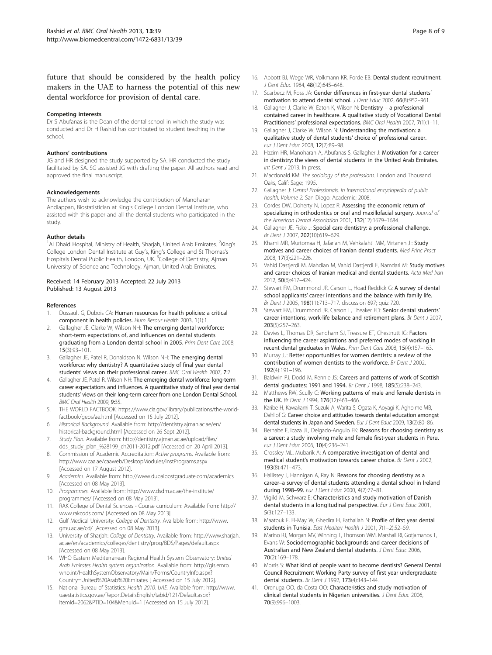<span id="page-7-0"></span>future that should be considered by the health policy makers in the UAE to harness the potential of this new dental workforce for provision of dental care.

#### Competing interests

Dr S Abufanas is the Dean of the dental school in which the study was conducted and Dr H Rashid has contributed to student teaching in the school.

#### Authors' contributions

JG and HR designed the study supported by SA. HR conducted the study facilitated by SA. SG assisted JG with drafting the paper. All authors read and approved the final manuscript.

#### Acknowledgements

The authors wish to acknowledge the contribution of Manoharan Andiappan, Biostatistician at King's College London Dental Institute, who assisted with this paper and all the dental students who participated in the study.

#### Author details

<sup>1</sup>Al Dhaid Hospital, Ministry of Health, Sharjah, United Arab Emirates. <sup>2</sup>King's College London Dental Institute at Guy's, King's College and St Thomas's Hospitals Dental Public Health, London, UK. <sup>3</sup>College of Dentistry, Ajman University of Science and Technology, Ajman, United Arab Emirates.

#### Received: 14 February 2013 Accepted: 22 July 2013 Published: 13 August 2013

#### References

- Dussault G, Dubois CA: Human resources for health policies: a critical component in health policies. Hum Resour Health 2003, 1(1):1.
- Gallagher JE, Clarke W, Wilson NH: The emerging dental workforce: short-term expectations of, and influences on dental students graduating from a London dental school in 2005. Prim Dent Care 2008, 15(3):93–101.
- 3. Gallagher JE, Patel R, Donaldson N, Wilson NH: The emerging dental workforce: why dentistry? A quantitative study of final year dental students' views on their professional career. BMC Oral Health 2007, 7:7.
- Gallagher JE, Patel R, Wilson NH: The emerging dental workforce: long-term career expectations and influences. A quantitative study of final year dental students' views on their long-term career from one London Dental School. BMC Oral Health 2009, 9:35.
- 5. THE WORLD FACTBOOK: [https://www.cia.gov/library/publications/the-world](https://www.cia.gov/library/publications/the-world-factbook/geos/ae.html)[factbook/geos/ae.html](https://www.cia.gov/library/publications/the-world-factbook/geos/ae.html) [Accessed on 15 July 2012].
- 6. Historical Background. Available from: [http://dentistry.ajman.ac.ae/en/](http://dentistry.ajman.ac.ae/en/historical-background.html) [historical-background.html](http://dentistry.ajman.ac.ae/en/historical-background.html) [Accessed on 26 Sept 2012].
- 7. Study Plan. Available from: [http://dentistry.ajman.ac.ae/upload/files/](http://dentistry.ajman.ac.ae/upload/files/dds_study_plan_%28199_ch2011-2012.pdf) [dds\\_study\\_plan\\_%28199\\_ch2011-2012.pdf](http://dentistry.ajman.ac.ae/upload/files/dds_study_plan_%28199_ch2011-2012.pdf) [Accessed on 20 April 2013].
- 8. Commission of Academic Accreditation: Active programs. Available from: <http://www.caa.ae/caaweb/DesktopModules/InstPrograms.aspx> [Accessed on 17 August 2012].
- 9. Academics. Available from:<http://www.dubaipostgraduate.com/academics> [Accessed on 08 May 2013].
- 10. Programmes. Available from: [http://www.dsdm.ac.ae/the-institute/](http://www.dsdm.ac.ae/the-institute/programmes/) [programmes/](http://www.dsdm.ac.ae/the-institute/programmes/) [Accessed on 08 May 2013].
- 11. RAK College of Dental Sciences Course curriculum: Available from: [http://](http://www.rakcods.com/) [www.rakcods.com/](http://www.rakcods.com/) [Accessed on 08 May 2013].
- 12. Gulf Medical University: College of Dentistry. Available from: [http://www.](http://www.gmu.ac.ae/cd/) [gmu.ac.ae/cd/](http://www.gmu.ac.ae/cd/) [Accessed on 08 May 2013].
- 13. University of Sharjah: College of Dentistry. Available from: [http://www.sharjah.](http://www.sharjah.ac.ae/en/academics/colleges/dentistry/prog/BDS/Pages/default.aspx) [ac.ae/en/academics/colleges/dentistry/prog/BDS/Pages/default.aspx](http://www.sharjah.ac.ae/en/academics/colleges/dentistry/prog/BDS/Pages/default.aspx) [Accessed on 08 May 2013].
- 14. WHO Eastern Mediterranean Regional Health System Observatory: United Arab Emirates Health system organization. Available from: [http://gis.emro.](http://gis.emro.who.int/HealthSystemObservatory/Main/Forms/CountryInfo.aspx?Country=United%20Arab%20Emirates) [who.int/HealthSystemObservatory/Main/Forms/CountryInfo.aspx?](http://gis.emro.who.int/HealthSystemObservatory/Main/Forms/CountryInfo.aspx?Country=United%20Arab%20Emirates) [Country=United%20Arab%20Emirates](http://gis.emro.who.int/HealthSystemObservatory/Main/Forms/CountryInfo.aspx?Country=United%20Arab%20Emirates) [ Accessed on 15 July 2012].
- 15. National Bureau of Statistics: Health 2010. UAE. Available from: [http://www.](http://www.uaestatistics.gov.ae/ReportDetailsEnglish/tabid/121/Default.aspx?ItemId=2062&PTID=104&MenuId=1) [uaestatistics.gov.ae/ReportDetailsEnglish/tabid/121/Default.aspx?](http://www.uaestatistics.gov.ae/ReportDetailsEnglish/tabid/121/Default.aspx?ItemId=2062&PTID=104&MenuId=1) [ItemId=2062&PTID=104&MenuId=1](http://www.uaestatistics.gov.ae/ReportDetailsEnglish/tabid/121/Default.aspx?ItemId=2062&PTID=104&MenuId=1) [Accessed on 15 July 2012].
- 16. Abbott BJ, Wege WR, Volkmann KR, Forde EB: Dental student recruitment. J Dent Educ 1984, 48(12):645–648.
- 17. Scarbecz M, Ross JA: Gender differences in first-year dental students' motivation to attend dental school. J Dent Educ 2002, 66(8):952-961.
- 18. Gallagher J, Clarke W, Eaton K, Wilson N: Dentistry a professional contained career in healthcare. A qualitative study of Vocational Dental Practitioners' professional expectations. BMC Oral Health 2007, 7(1):1-11.
- 19. Gallagher J, Clarke W, Wilson N: Understanding the motivation: a qualitative study of dental students' choice of professional career. Eur J Dent Educ 2008, 12(2):89–98.
- 20. Hazim HR, Manoharan A, Abufanas S, Gallagher J: Motivation for a career in dentistry: the views of dental students' in the United Arab Emirates. Int Dent J 2013. In press.
- 21. Macdonald KM: The sociology of the professions. London and Thousand Oaks, Calif: Sage; 1995.
- 22. Gallagher J: Dental Professionals. In International encyclopedia of public health, Volume 2. San Diego: Academic; 2008.
- 23. Cordes DW, Doherty N, Lopez R: Assessing the economic return of specializing in orthodontics or oral and maxillofacial surgery. Journal of the American Dental Association 2001, 132(12):1679–1684.
- 24. Gallagher JE, Fiske J: Special care dentistry: a professional challenge. Br Dent J 2007, 202(10):619-629.
- 25. Khami MR, Murtomaa H, Jafarian M, Vehkalahti MM, Virtanen JI: Study motives and career choices of Iranian dental students. Med Princ Pract 2008, 17(3):221–226.
- 26. Vahid Dastjerdi M, Mahdian M, Vahid Dastjerdi E, Namdari M: Study motives and career choices of Iranian medical and dental students. Acta Med Iran 2012, 50(6):417–424.
- 27. Stewart FM, Drummond JR, Carson L, Hoad Reddick G: A survey of dental school applicants' career intentions and the balance with family life. Br Dent J 2005, 198(11):713–717. discussion 697; quiz 720.
- 28. Stewart FM, Drummond JR, Carson L, Theaker ED: Senior dental students' career intentions, work-life balance and retirement plans. Br Dent J 2007, 203(5):257–263.
- 29. Davies L, Thomas DR, Sandham SJ, Treasure ET, Chestnutt IG: Factors influencing the career aspirations and preferred modes of working in recent dental graduates in Wales. Prim Dent Care 2008, 15(4):157–163.
- 30. Murray JJ: Better opportunities for women dentists: a review of the contribution of women dentists to the workforce. Br Dent J 2002, 192(4):191–196.
- 31. Baldwin PJ, Dodd M, Rennie JS: Careers and patterns of work of Scottish dental graduates: 1991 and 1994. Br Dent J 1998, 185(5):238-243.
- 32. Matthews RW, Scully C: Working patterns of male and female dentists in the UK. Br Dent J 1994, 176(12):463-466.
- 33. Karibe H, Kawakami T, Suzuki A, Warita S, Ogata K, Aoyagi K, Agholme MB, Dahllof G: Career choice and attitudes towards dental education amongst dental students in Japan and Sweden. Eur J Dent Educ 2009, 13(2):80-86.
- 34. Bernabe E, Icaza JL, Delgado-Angulo EK: Reasons for choosing dentistry as a career: a study involving male and female first-year students in Peru. Eur J Dent Educ 2006, 10(4):236–241.
- 35. Crossley ML, Mubarik A: A comparative investigation of dental and medical student's motivation towards career choice. Br Dent J 2002, 193(8):471–473.
- 36. Hallissey J, Hannigan A, Ray N: Reasons for choosing dentistry as a career–a survey of dental students attending a dental school in Ireland during 1998–99. Eur J Dent Educ 2000, 4(2):77–81.
- Vigild M, Schwarz E: Characteristics and study motivation of Danish dental students in a longitudinal perspective. Eur J Dent Educ 2001, 5(3):127–133.
- 38. Maatouk F, El-May W, Ghedira H, Fathallah N: Profile of first year dental students in Tunisia. East Mediterr Health J 2001, 7(1-2):52-59.
- 39. Marino RJ, Morgan MV, Winning T, Thomson WM, Marshall RI, Gotjamanos T, Evans W: Sociodemographic backgrounds and career decisions of Australian and New Zealand dental students. J Dent Educ 2006, 70(2):169–178.
- 40. Morris S: What kind of people want to become dentists? General Dental Council Recruitment Working Party survey of first year undergraduate dental students. Br Dent J 1992, 173(4):143–144.
- 41. Orenuga OO, da Costa OO: Characteristics and study motivation of clinical dental students in Nigerian universities. J Dent Educ 2006, 70(9):996–1003.